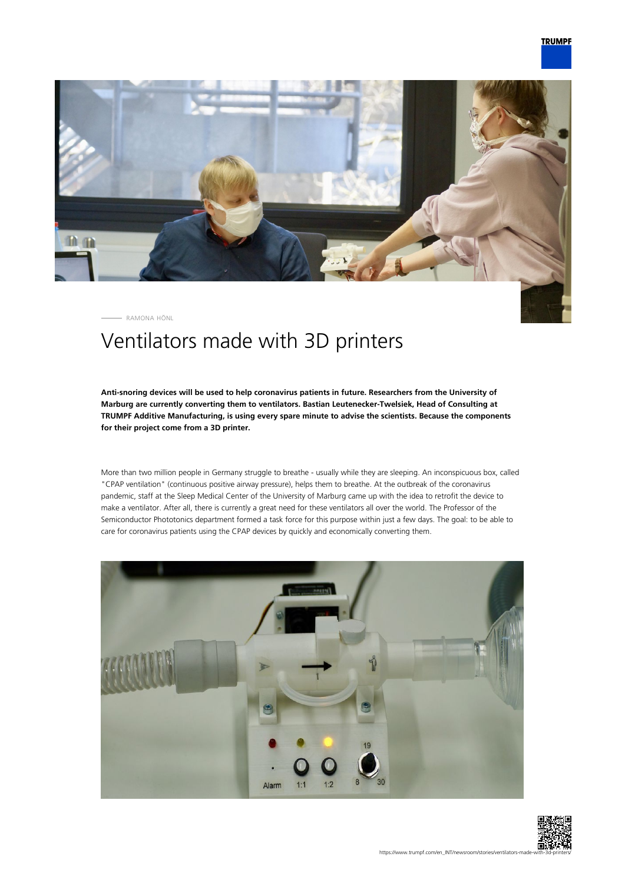

RAMONA HÖNL

## Ventilators made with 3D printers

**Anti-snoring devices will be used to help coronavirus patients in future. Researchers from the University of Marburg are currently converting them to ventilators. Bastian Leutenecker-Twelsiek, Head of Consulting at TRUMPF Additive Manufacturing, is using every spare minute to advise the scientists. Because the components for their project come from a 3D printer.**

More than two million people in Germany struggle to breathe - usually while they are sleeping. An inconspicuous box, called "CPAP ventilation" (continuous positive airway pressure), helps them to breathe. At the outbreak of the coronavirus pandemic, staff at the Sleep Medical Center of the University of Marburg came up with the idea to retrofit the device to make a ventilator. After all, there is currently a great need for these ventilators all over the world. The Professor of the Semiconductor Phototonics department formed a task force for this purpose within just a few days. The goal: to be able to care for coronavirus patients using the CPAP devices by quickly and economically converting them.



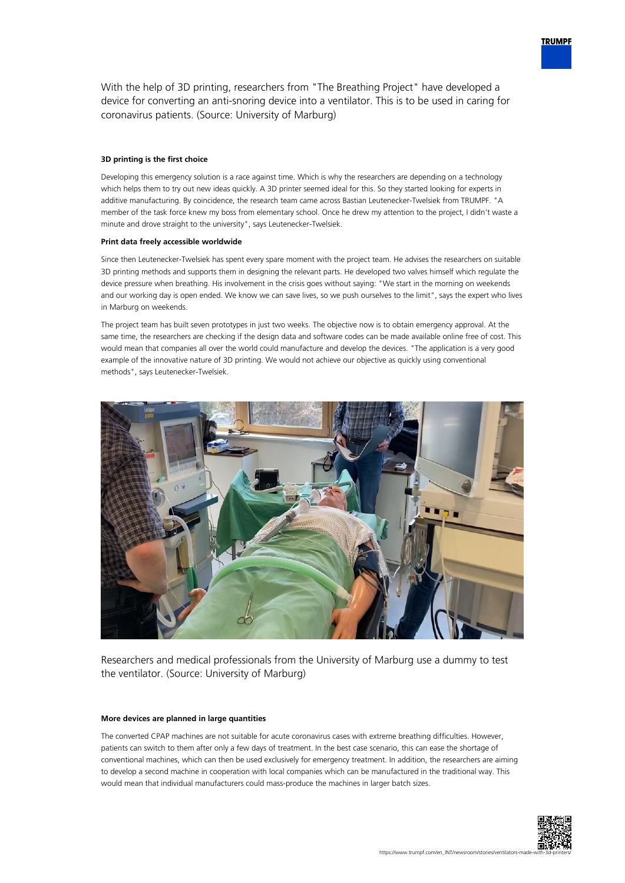

## **3D printing is the first choice**

Developing this emergency solution is a race against time. Which is why the researchers are depending on a technology which helps them to try out new ideas quickly. A 3D printer seemed ideal for this. So they started looking for experts in additive manufacturing. By coincidence, the research team came across Bastian Leutenecker-Twelsiek from TRUMPF. "A member of the task force knew my boss from elementary school. Once he drew my attention to the project, I didn't waste a minute and drove straight to the university", says Leutenecker-Twelsiek.

## **Print data freely accessible worldwide**

Since then Leutenecker-Twelsiek has spent every spare moment with the project team. He advises the researchers on suitable 3D printing methods and supports them in designing the relevant parts. He developed two valves himself which regulate the device pressure when breathing. His involvement in the crisis goes without saying: "We start in the morning on weekends and our working day is open ended. We know we can save lives, so we push ourselves to the limit", says the expert who lives in Marburg on weekends.

The project team has built seven prototypes in just two weeks. The objective now is to obtain emergency approval. At the same time, the researchers are checking if the design data and software codes can be made available online free of cost. This would mean that companies all over the world could manufacture and develop the devices. "The application is a very good example of the innovative nature of 3D printing. We would not achieve our objective as quickly using conventional methods", says Leutenecker-Twelsiek.



Researchers and medical professionals from the University of Marburg use a dummy to test the ventilator. (Source: University of Marburg)

## **More devices are planned in large quantities**

The converted CPAP machines are not suitable for acute coronavirus cases with extreme breathing difficulties. However, patients can switch to them after only a few days of treatment. In the best case scenario, this can ease the shortage of conventional machines, which can then be used exclusively for emergency treatment. In addition, the researchers are aiming to develop a second machine in cooperation with local companies which can be manufactured in the traditional way. This would mean that individual manufacturers could mass-produce the machines in larger batch sizes.



**TRUMPF**